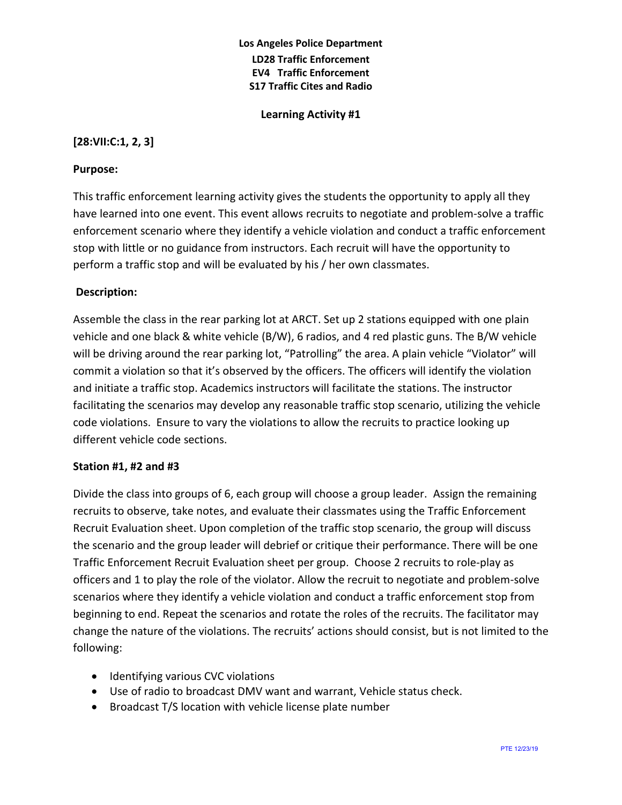## **Los Angeles Police Department LD28 Traffic Enforcement EV4 Traffic Enforcement S17 Traffic Cites and Radio**

**Learning Activity #1**

### **[28:VII:C:1, 2, 3]**

### **Purpose:**

This traffic enforcement learning activity gives the students the opportunity to apply all they have learned into one event. This event allows recruits to negotiate and problem-solve a traffic enforcement scenario where they identify a vehicle violation and conduct a traffic enforcement stop with little or no guidance from instructors. Each recruit will have the opportunity to perform a traffic stop and will be evaluated by his / her own classmates.

### **Description:**

Assemble the class in the rear parking lot at ARCT. Set up 2 stations equipped with one plain vehicle and one black & white vehicle (B/W), 6 radios, and 4 red plastic guns. The B/W vehicle will be driving around the rear parking lot, "Patrolling" the area. A plain vehicle "Violator" will commit a violation so that it's observed by the officers. The officers will identify the violation and initiate a traffic stop. Academics instructors will facilitate the stations. The instructor facilitating the scenarios may develop any reasonable traffic stop scenario, utilizing the vehicle code violations. Ensure to vary the violations to allow the recruits to practice looking up different vehicle code sections.

#### **Station #1, #2 and #3**

Divide the class into groups of 6, each group will choose a group leader. Assign the remaining recruits to observe, take notes, and evaluate their classmates using the Traffic Enforcement Recruit Evaluation sheet. Upon completion of the traffic stop scenario, the group will discuss the scenario and the group leader will debrief or critique their performance. There will be one Traffic Enforcement Recruit Evaluation sheet per group. Choose 2 recruits to role-play as officers and 1 to play the role of the violator. Allow the recruit to negotiate and problem-solve scenarios where they identify a vehicle violation and conduct a traffic enforcement stop from beginning to end. Repeat the scenarios and rotate the roles of the recruits. The facilitator may change the nature of the violations. The recruits' actions should consist, but is not limited to the following:

- Identifying various CVC violations
- Use of radio to broadcast DMV want and warrant, Vehicle status check.
- Broadcast T/S location with vehicle license plate number